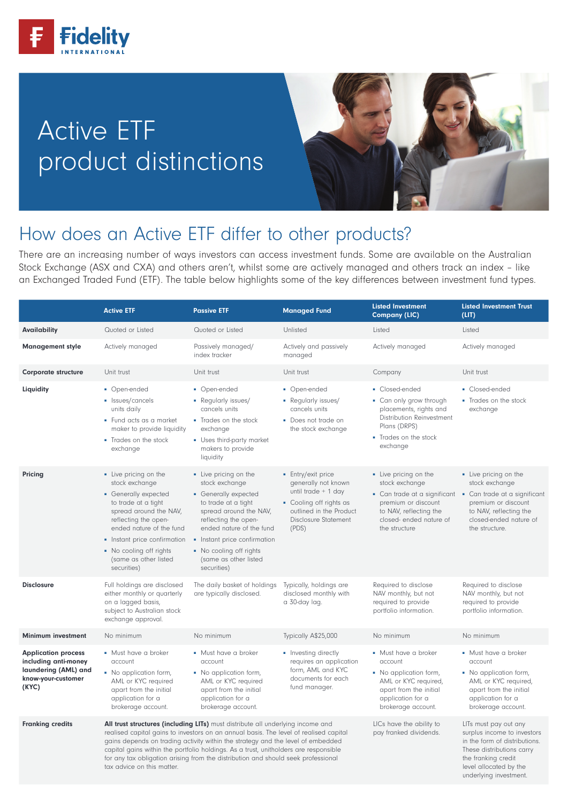

# Active ETF product distinctions



underlying investment.

## How does an Active ETF differ to other products?

There are an increasing number of ways investors can access investment funds. Some are available on the Australian Stock Exchange (ASX and CXA) and others aren't, whilst some are actively managed and others track an index – like an Exchanged Traded Fund (ETF). The table below highlights some of the key differences between investment fund types.

|                                                                                                           | <b>Active ETF</b>                                                                                                                                                                                                                                                                                                                                                                                                                                                                                                                                                                                                                                                                                   | <b>Passive ETF</b>                                                                                                                                                                                                                                                      | <b>Managed Fund</b>                                                                                                                                     | <b>Listed Investment</b><br><b>Company (LIC)</b>                                                                                                       | <b>Listed Investment Trust</b><br>(LIT)                                                                                                                                                           |
|-----------------------------------------------------------------------------------------------------------|-----------------------------------------------------------------------------------------------------------------------------------------------------------------------------------------------------------------------------------------------------------------------------------------------------------------------------------------------------------------------------------------------------------------------------------------------------------------------------------------------------------------------------------------------------------------------------------------------------------------------------------------------------------------------------------------------------|-------------------------------------------------------------------------------------------------------------------------------------------------------------------------------------------------------------------------------------------------------------------------|---------------------------------------------------------------------------------------------------------------------------------------------------------|--------------------------------------------------------------------------------------------------------------------------------------------------------|---------------------------------------------------------------------------------------------------------------------------------------------------------------------------------------------------|
| <b>Availability</b>                                                                                       | Quoted or Listed                                                                                                                                                                                                                                                                                                                                                                                                                                                                                                                                                                                                                                                                                    | Quoted or Listed                                                                                                                                                                                                                                                        | Unlisted                                                                                                                                                | Listed                                                                                                                                                 | Listed                                                                                                                                                                                            |
| <b>Management style</b>                                                                                   | Actively managed                                                                                                                                                                                                                                                                                                                                                                                                                                                                                                                                                                                                                                                                                    | Passively managed/<br>index tracker                                                                                                                                                                                                                                     | Actively and passively<br>managed                                                                                                                       | Actively managed                                                                                                                                       | Actively managed                                                                                                                                                                                  |
| <b>Corporate structure</b>                                                                                | Unit trust                                                                                                                                                                                                                                                                                                                                                                                                                                                                                                                                                                                                                                                                                          | Unit trust                                                                                                                                                                                                                                                              | Unit trust                                                                                                                                              | Company                                                                                                                                                | Unit trust                                                                                                                                                                                        |
| Liquidity                                                                                                 | • Open-ended<br>• Issues/cancels<br>units daily<br>• Fund acts as a market<br>maker to provide liquidity<br>• Trades on the stock<br>exchange                                                                                                                                                                                                                                                                                                                                                                                                                                                                                                                                                       | • Open-ended<br>• Regularly issues/<br>cancels units<br>• Trades on the stock<br>exchange<br>• Uses third-party market<br>makers to provide<br>liquidity                                                                                                                | • Open-ended<br>• Regularly issues/<br>cancels units<br>• Does not trade on<br>the stock exchange                                                       | • Closed-ended<br>• Can only grow through<br>placements, rights and<br>Distribution Reinvestment<br>Plans (DRPS)<br>- Trades on the stock<br>exchange  | • Closed-ended<br>• Trades on the stock<br>exchange                                                                                                                                               |
| Pricing                                                                                                   | • Live pricing on the<br>stock exchange<br>• Generally expected<br>to trade at a tight<br>spread around the NAV,<br>reflecting the open-<br>ended nature of the fund<br>• Instant price confirmation<br>• No cooling off rights<br>(same as other listed<br>securities)                                                                                                                                                                                                                                                                                                                                                                                                                             | • Live pricing on the<br>stock exchange<br>• Generally expected<br>to trade at a tight<br>spread around the NAV,<br>reflecting the open-<br>ended nature of the fund<br>• Instant price confirmation<br>• No cooling off rights<br>(same as other listed<br>securities) | • Entry/exit price<br>generally not known<br>until trade + 1 day<br>• Cooling off rights as<br>outlined in the Product<br>Disclosure Statement<br>(PDS) | • Live pricing on the<br>stock exchange<br>premium or discount<br>to NAV, reflecting the<br>closed-ended nature of<br>the structure                    | • Live pricing on the<br>stock exchange<br>• Can trade at a significant • Can trade at a significant<br>premium or discount<br>to NAV, reflecting the<br>closed-ended nature of<br>the structure. |
| <b>Disclosure</b>                                                                                         | Full holdings are disclosed<br>either monthly or quarterly<br>on a lagged basis,<br>subject to Australian stock<br>exchange approval.                                                                                                                                                                                                                                                                                                                                                                                                                                                                                                                                                               | The daily basket of holdings<br>are typically disclosed.                                                                                                                                                                                                                | Typically, holdings are<br>disclosed monthly with<br>a 30-day lag.                                                                                      | Required to disclose<br>NAV monthly, but not<br>required to provide<br>portfolio information.                                                          | Required to disclose<br>NAV monthly, but not<br>required to provide<br>portfolio information.                                                                                                     |
| <b>Minimum investment</b>                                                                                 | No minimum                                                                                                                                                                                                                                                                                                                                                                                                                                                                                                                                                                                                                                                                                          | No minimum                                                                                                                                                                                                                                                              | Typically A\$25,000                                                                                                                                     | No minimum                                                                                                                                             | No minimum                                                                                                                                                                                        |
| <b>Application process</b><br>including anti-money<br>laundering (AML) and<br>know-your-customer<br>(KYC) | • Must have a broker<br>account<br>• No application form,<br>AML or KYC required<br>apart from the initial<br>application for a<br>brokerage account.                                                                                                                                                                                                                                                                                                                                                                                                                                                                                                                                               | • Must have a broker<br>account<br>• No application form,<br>AML or KYC required<br>apart from the initial<br>application for a<br>brokerage account.                                                                                                                   | • Investing directly<br>requires an application<br>form, AML and KYC<br>documents for each<br>fund manager.                                             | • Must have a broker<br>account<br>• No application form,<br>AML or KYC required,<br>apart from the initial<br>application for a<br>brokerage account. | • Must have a broker<br>account<br>• No application form,<br>AML or KYC required,<br>apart from the initial<br>application for a<br>brokerage account.                                            |
| <b>Franking credits</b>                                                                                   | All trust structures (including LITs) must distribute all underlying income and<br>LICs have the ability to<br>LITs must pay out any<br>realised capital gains to investors on an annual basis. The level of realised capital<br>pay franked dividends.<br>surplus income to investors<br>gains depends on trading activity within the strategy and the level of embedded<br>in the form of distributions.<br>capital gains within the portfolio holdings. As a trust, unitholders are responsible<br>These distributions carry<br>for any tax obligation arising from the distribution and should seek professional<br>the franking credit<br>tax advice on this matter.<br>level allocated by the |                                                                                                                                                                                                                                                                         |                                                                                                                                                         |                                                                                                                                                        |                                                                                                                                                                                                   |